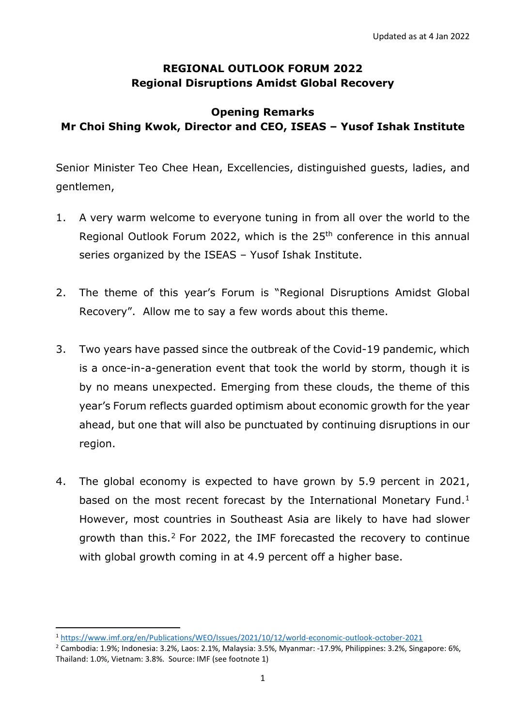## **REGIONAL OUTLOOK FORUM 2022 Regional Disruptions Amidst Global Recovery**

## **Opening Remarks Mr Choi Shing Kwok, Director and CEO, ISEAS – Yusof Ishak Institute**

Senior Minister Teo Chee Hean, Excellencies, distinguished guests, ladies, and gentlemen,

- 1. A very warm welcome to everyone tuning in from all over the world to the Regional Outlook Forum 2022, which is the 25<sup>th</sup> conference in this annual series organized by the ISEAS – Yusof Ishak Institute.
- 2. The theme of this year's Forum is "Regional Disruptions Amidst Global Recovery". Allow me to say a few words about this theme.
- 3. Two years have passed since the outbreak of the Covid-19 pandemic, which is a once-in-a-generation event that took the world by storm, though it is by no means unexpected. Emerging from these clouds, the theme of this year's Forum reflects guarded optimism about economic growth for the year ahead, but one that will also be punctuated by continuing disruptions in our region.
- 4. The global economy is expected to have grown by 5.9 percent in 2021, based on the most recent forecast by the International Monetary Fund.<sup>[1](#page-0-0)</sup> However, most countries in Southeast Asia are likely to have had slower growth than this.[2](#page-0-1) For 2022, the IMF forecasted the recovery to continue with global growth coming in at 4.9 percent off a higher base.

<span id="page-0-0"></span> <sup>1</sup> <https://www.imf.org/en/Publications/WEO/Issues/2021/10/12/world-economic-outlook-october-2021>

<span id="page-0-1"></span><sup>2</sup> Cambodia: 1.9%; Indonesia: 3.2%, Laos: 2.1%, Malaysia: 3.5%, Myanmar: -17.9%, Philippines: 3.2%, Singapore: 6%, Thailand: 1.0%, Vietnam: 3.8%. Source: IMF (see footnote 1)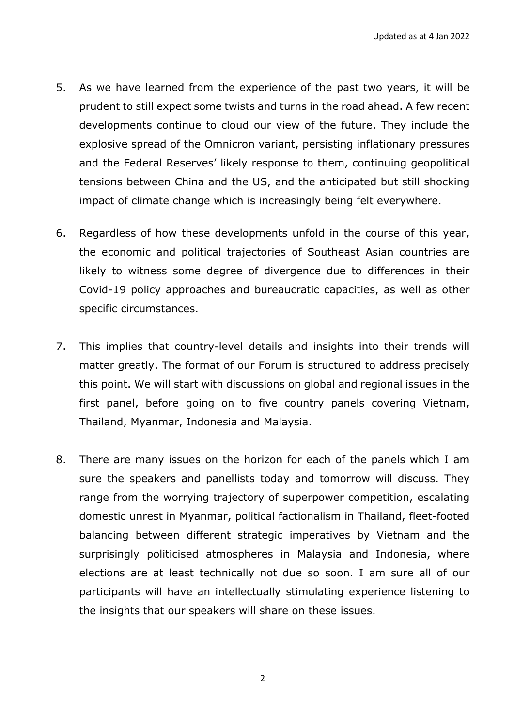- 5. As we have learned from the experience of the past two years, it will be prudent to still expect some twists and turns in the road ahead. A few recent developments continue to cloud our view of the future. They include the explosive spread of the Omnicron variant, persisting inflationary pressures and the Federal Reserves' likely response to them, continuing geopolitical tensions between China and the US, and the anticipated but still shocking impact of climate change which is increasingly being felt everywhere.
- 6. Regardless of how these developments unfold in the course of this year, the economic and political trajectories of Southeast Asian countries are likely to witness some degree of divergence due to differences in their Covid-19 policy approaches and bureaucratic capacities, as well as other specific circumstances.
- 7. This implies that country-level details and insights into their trends will matter greatly. The format of our Forum is structured to address precisely this point. We will start with discussions on global and regional issues in the first panel, before going on to five country panels covering Vietnam, Thailand, Myanmar, Indonesia and Malaysia.
- 8. There are many issues on the horizon for each of the panels which I am sure the speakers and panellists today and tomorrow will discuss. They range from the worrying trajectory of superpower competition, escalating domestic unrest in Myanmar, political factionalism in Thailand, fleet-footed balancing between different strategic imperatives by Vietnam and the surprisingly politicised atmospheres in Malaysia and Indonesia, where elections are at least technically not due so soon. I am sure all of our participants will have an intellectually stimulating experience listening to the insights that our speakers will share on these issues.